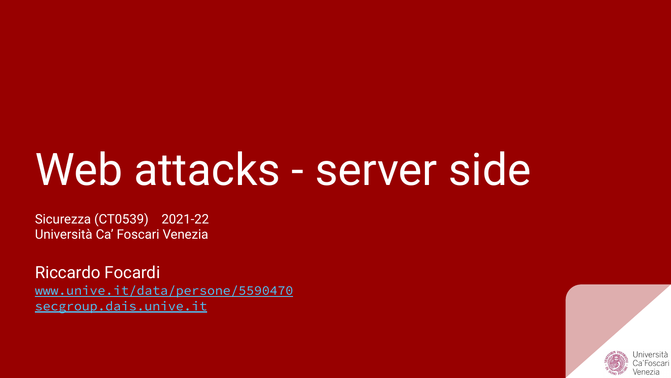# Web attacks - server side

Sicurezza (CT0539) 2021-22 Università Ca' Foscari Venezia

Riccardo Focardi [www.unive.it/data/persone/5590470](https://www.unive.it/data/persone/5590470) [secgroup.dais.unive.it](https://secgroup.dais.unive.it/teaching/security-1/)

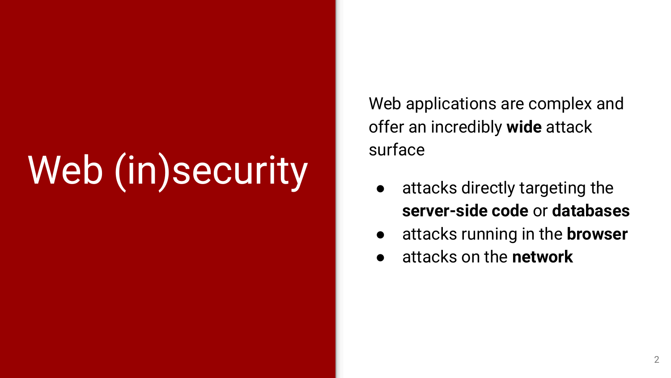# Web (in)security

Web applications are complex and offer an incredibly **wide** attack surface

- attacks directly targeting the **server-side code** or **databases**
- attacks running in the **browser**
- attacks on the **network**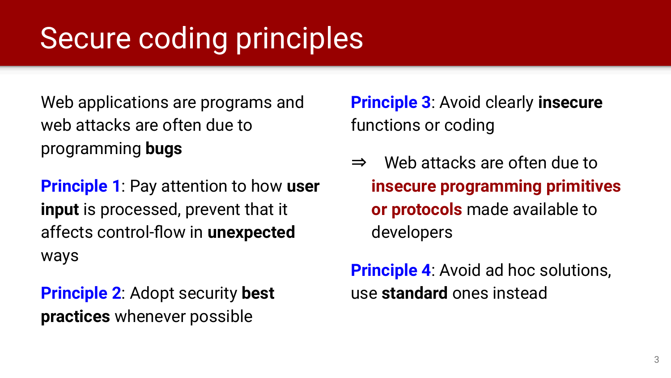### Secure coding principles

Web applications are programs and web attacks are often due to programming **bugs**

**Principle 1**: Pay attention to how **user input** is processed, prevent that it affects control-flow in **unexpected** ways

**Principle 2**: Adopt security **best practices** whenever possible

**Principle 3**: Avoid clearly **insecure** functions or coding

⇒ Web attacks are often due to **insecure programming primitives or protocols** made available to developers

**Principle 4:** Avoid ad hoc solutions, use **standard** ones instead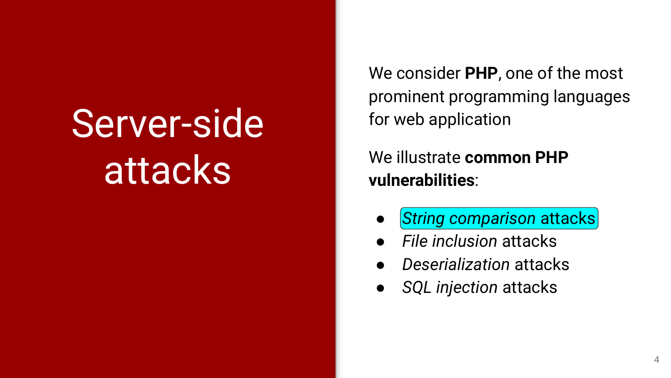# Server-side attacks

We consider **PHP**, one of the most prominent programming languages for web application

We illustrate **common PHP vulnerabilities**:

- **String comparison attacks**
- *File inclusion* attacks
- *Deserialization* attacks
- *SQL injection* attacks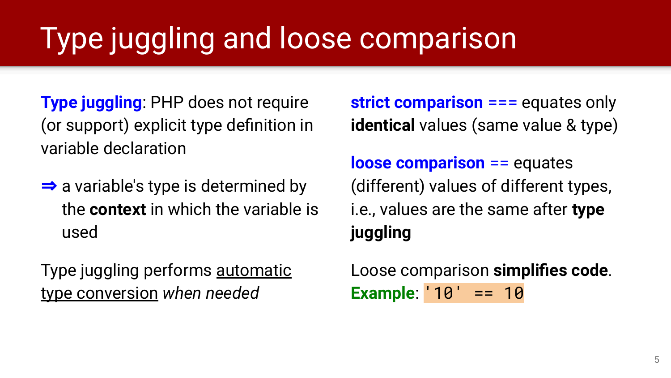## Type juggling and loose comparison

**Type juggling**: PHP does not require (or support) explicit type definition in variable declaration

 $\Rightarrow$  a variable's type is determined by the **context** in which the variable is used

Type juggling performs automatic type conversion *when needed*

**strict comparison** === equates only **identical** values (same value & type)

**loose comparison** == equates (different) values of different types, i.e., values are the same after **type juggling**

Loose comparison **simplifies code**. **Example**: '10' == 10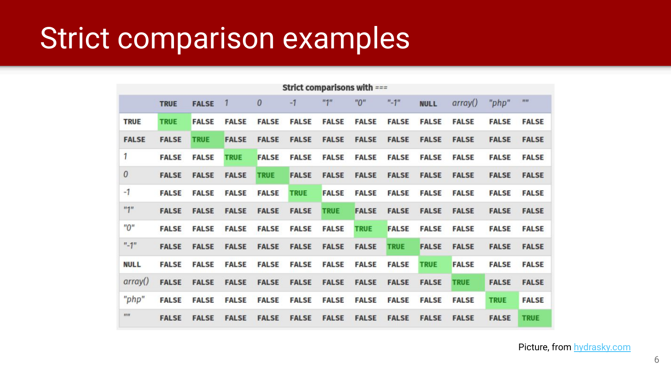### Strict comparison examples

| Strict comparisons with $==$ |              |              |              |                  |              |              |              |              |              |              |              |              |
|------------------------------|--------------|--------------|--------------|------------------|--------------|--------------|--------------|--------------|--------------|--------------|--------------|--------------|
|                              | <b>TRUE</b>  | <b>FALSE</b> |              | $\boldsymbol{0}$ | $-1$         | $H \times H$ | $n_{\Omega}$ | $" - 1"$     | <b>NULL</b>  | arrow()      | "php"        | III          |
| <b>TRUE</b>                  | <b>TRUE</b>  | <b>FALSE</b> | <b>FALSE</b> | <b>FALSE</b>     | <b>FALSE</b> | <b>FALSE</b> | <b>FALSE</b> | <b>FALSE</b> | <b>FALSE</b> | <b>FALSE</b> | <b>FALSE</b> | <b>FALSE</b> |
| <b>FALSE</b>                 | <b>FALSE</b> | <b>TRUE</b>  | <b>FALSE</b> | <b>FALSE</b>     | <b>FALSE</b> | <b>FALSE</b> | <b>FALSE</b> | <b>FALSE</b> | <b>FALSE</b> | <b>FALSE</b> | <b>FALSE</b> | <b>FALSE</b> |
| 1                            | <b>FALSE</b> | <b>FALSE</b> | <b>TRUE</b>  | <b>FALSE</b>     | <b>FALSE</b> | <b>FALSE</b> | <b>FALSE</b> | <b>FALSE</b> | <b>FALSE</b> | <b>FALSE</b> | <b>FALSE</b> | <b>FALSE</b> |
| $\theta$                     | <b>FALSE</b> | <b>FALSE</b> | <b>FALSE</b> | <b>TRUE</b>      | <b>FALSE</b> | <b>FALSE</b> | <b>FALSE</b> | <b>FALSE</b> | <b>FALSE</b> | <b>FALSE</b> | <b>FALSE</b> | <b>FALSE</b> |
| $-1$                         | <b>FALSE</b> | <b>FALSE</b> | <b>FALSE</b> | <b>FALSE</b>     | <b>TRUE</b>  | <b>FALSE</b> | <b>FALSE</b> | <b>FALSE</b> | <b>FALSE</b> | <b>FALSE</b> | <b>FALSE</b> | <b>FALSE</b> |
| $n_1$                        | <b>FALSE</b> | <b>FALSE</b> | <b>FALSE</b> | <b>FALSE</b>     | <b>FALSE</b> | <b>TRUE</b>  | <b>FALSE</b> | <b>FALSE</b> | <b>FALSE</b> | <b>FALSE</b> | <b>FALSE</b> | <b>FALSE</b> |
| "0"                          | <b>FALSE</b> | <b>FALSE</b> | <b>FALSE</b> | <b>FALSE</b>     | <b>FALSE</b> | <b>FALSE</b> | <b>TRUE</b>  | <b>FALSE</b> | <b>FALSE</b> | <b>FALSE</b> | <b>FALSE</b> | <b>FALSE</b> |
| $"$ -1"                      | <b>FALSE</b> | <b>FALSE</b> | <b>FALSE</b> | <b>FALSE</b>     | <b>FALSE</b> | <b>FALSE</b> | <b>FALSE</b> | <b>TRUE</b>  | <b>FALSE</b> | <b>FALSE</b> | <b>FALSE</b> | <b>FALSE</b> |
| <b>NULL</b>                  | <b>FALSE</b> | <b>FALSE</b> | <b>FALSE</b> | <b>FALSE</b>     | <b>FALSE</b> | <b>FALSE</b> | <b>FALSE</b> | <b>FALSE</b> | <b>TRUE</b>  | <b>FALSE</b> | <b>FALSE</b> | <b>FALSE</b> |
| arrow()                      | <b>FALSE</b> | <b>FALSE</b> | <b>FALSE</b> | <b>FALSE</b>     | <b>FALSE</b> | <b>FALSE</b> | <b>FALSE</b> | <b>FALSE</b> | <b>FALSE</b> | <b>TRUE</b>  | <b>FALSE</b> | <b>FALSE</b> |
| "php"                        | <b>FALSE</b> | <b>FALSE</b> | <b>FALSE</b> | <b>FALSE</b>     | <b>FALSE</b> | <b>FALSE</b> | <b>FALSE</b> | <b>FALSE</b> | <b>FALSE</b> | <b>FALSE</b> | <b>TRUE</b>  | <b>FALSE</b> |
| $\overline{m}$               | <b>FALSE</b> | <b>FALSE</b> | <b>FALSE</b> | <b>FALSE</b>     | <b>FALSE</b> | <b>FALSE</b> | <b>FALSE</b> | <b>FALSE</b> | <b>FALSE</b> | <b>FALSE</b> | <b>FALSE</b> | <b>TRUE</b>  |

Picture, from [hydrasky.com](https://hydrasky.com/network-security/php-string-comparison-vulnerabilities/)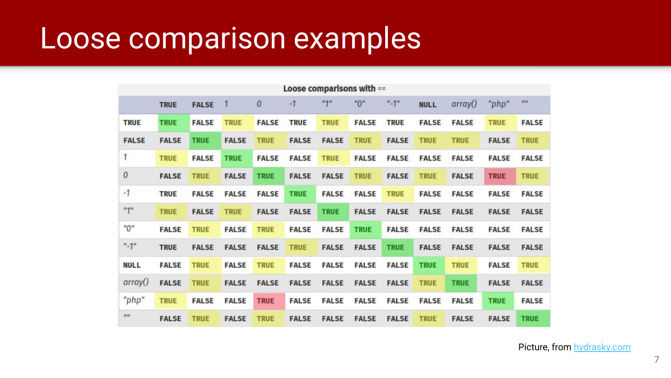### Loose comparison examples

| Loose comparisons with == |              |              |              |              |              |              |              |              |              |              |              |                |
|---------------------------|--------------|--------------|--------------|--------------|--------------|--------------|--------------|--------------|--------------|--------------|--------------|----------------|
|                           | <b>TRUE</b>  | <b>FALSE</b> |              | $\theta$     | $-1$         | $n + n$      | "0"          | $"$ -1"      | <b>NULL</b>  | arrow()      | "php"        | $\overline{m}$ |
| <b>TRUE</b>               | <b>TRUE</b>  | <b>FALSE</b> | <b>TRUE</b>  | <b>FALSE</b> | <b>TRUE</b>  | <b>TRUE</b>  | <b>FALSE</b> | <b>TRUE</b>  | <b>FALSE</b> | <b>FALSE</b> | <b>TRUE</b>  | <b>FALSE</b>   |
| <b>FALSE</b>              | <b>FALSE</b> | <b>TRUE</b>  | <b>FALSE</b> | <b>TRUE</b>  | <b>FALSE</b> | <b>FALSE</b> | <b>TRUE</b>  | <b>FALSE</b> | <b>TRUE</b>  | <b>TRUE</b>  | <b>FALSE</b> | <b>TRUE</b>    |
| 1                         | <b>TRUE</b>  | <b>FALSE</b> | <b>TRUE</b>  | <b>FALSE</b> | <b>FALSE</b> | <b>TRUE</b>  | <b>FALSE</b> | <b>FALSE</b> | <b>FALSE</b> | <b>FALSE</b> | <b>FALSE</b> | <b>FALSE</b>   |
| $\theta$                  | <b>FALSE</b> | <b>TRUE</b>  | <b>FALSE</b> | <b>TRUE</b>  | <b>FALSE</b> | <b>FALSE</b> | <b>TRUE</b>  | <b>FALSE</b> | <b>TRUE</b>  | <b>FALSE</b> | <b>TRUE</b>  | <b>TRUE</b>    |
| $-1$                      | <b>TRUE</b>  | <b>FALSE</b> | <b>FALSE</b> | <b>FALSE</b> | <b>TRUE</b>  | <b>FALSE</b> | <b>FALSE</b> | <b>TRUE</b>  | <b>FALSE</b> | <b>FALSE</b> | <b>FALSE</b> | <b>FALSE</b>   |
| "1"                       | <b>TRUE</b>  | <b>FALSE</b> | <b>TRUE</b>  | <b>FALSE</b> | <b>FALSE</b> | <b>TRUE</b>  | <b>FALSE</b> | <b>FALSE</b> | <b>FALSE</b> | <b>FALSE</b> | <b>FALSE</b> | <b>FALSE</b>   |
| "0"                       | <b>FALSE</b> | <b>TRUE</b>  | <b>FALSE</b> | <b>TRUE</b>  | <b>FALSE</b> | <b>FALSE</b> | <b>TRUE</b>  | <b>FALSE</b> | <b>FALSE</b> | <b>FALSE</b> | <b>FALSE</b> | <b>FALSE</b>   |
| $"$ -1"                   | <b>TRUE</b>  | <b>FALSE</b> | <b>FALSE</b> | <b>FALSE</b> | <b>TRUE</b>  | <b>FALSE</b> | <b>FALSE</b> | <b>TRUE</b>  | <b>FALSE</b> | <b>FALSE</b> | <b>FALSE</b> | <b>FALSE</b>   |
| <b>NULL</b>               | <b>FALSE</b> | <b>TRUE</b>  | <b>FALSE</b> | <b>TRUE</b>  | <b>FALSE</b> | <b>FALSE</b> | <b>FALSE</b> | <b>FALSE</b> | <b>TRUE</b>  | <b>TRUE</b>  | <b>FALSE</b> | <b>TRUE</b>    |
| array()                   | <b>FALSE</b> | <b>TRUE</b>  | <b>FALSE</b> | <b>FALSE</b> | <b>FALSE</b> | <b>FALSE</b> | <b>FALSE</b> | <b>FALSE</b> | <b>TRUE</b>  | <b>TRUE</b>  | <b>FALSE</b> | <b>FALSE</b>   |
| "php"                     | <b>TRUE</b>  | <b>FALSE</b> | <b>FALSE</b> | <b>TRUE</b>  | <b>FALSE</b> | <b>FALSE</b> | <b>FALSE</b> | <b>FALSE</b> | <b>FALSE</b> | <b>FALSE</b> | <b>TRUE</b>  | <b>FALSE</b>   |
| 2122                      | <b>FALSE</b> | <b>TRUE</b>  | <b>FALSE</b> | <b>TRUE</b>  | <b>FALSE</b> | <b>FALSE</b> | <b>FALSE</b> | <b>FALSE</b> | <b>TRUE</b>  | <b>FALSE</b> | <b>FALSE</b> | <b>TRUE</b>    |

Picture, from [hydrasky.com](https://hydrasky.com/network-security/php-string-comparison-vulnerabilities/)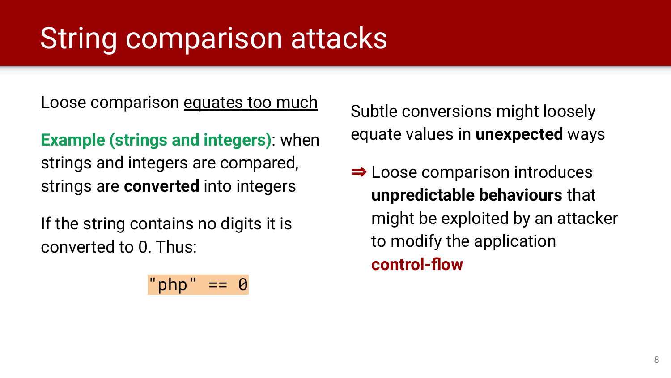### String comparison attacks

Loose comparison equates too much

**Example (strings and integers)**: when strings and integers are compared, strings are **converted** into integers

If the string contains no digits it is converted to 0. Thus:

$$
"php" == 0
$$

Subtle conversions might loosely equate values in **unexpected** ways

⇒ Loose comparison introduces **unpredictable behaviours** that might be exploited by an attacker to modify the application **control-flow**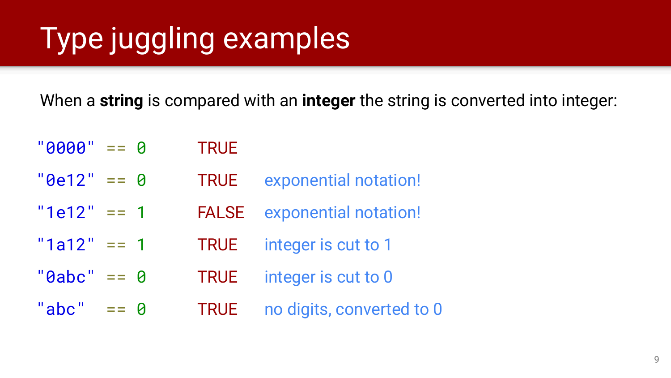## Type juggling examples

When a **string** is compared with an **integer** the string is converted into integer:

 $"0000" == 0"$  $"0e12" == 0$  $"1e12" == 1$  $"1a12" == 1$  $"9abc" == 0$ "abc"  $== 0$ **TRUE** TRUE exponential notation! FALSE exponential notation! TRUE integer is cut to 1 TRUE integer is cut to 0 TRUE no digits, converted to 0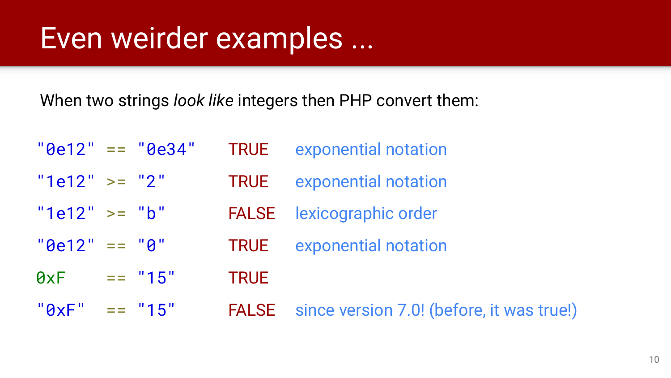### Even weirder examples ...

When two strings *look like* integers then PHP convert them:

|                   | $"0e12" == "0e34"$ |             | <b>TRUE</b> exponential notation                |
|-------------------|--------------------|-------------|-------------------------------------------------|
| " $1e12" > = "2"$ |                    |             | <b>TRUE</b> exponential notation                |
| " $1e12" > = "b"$ |                    |             | <b>FALSE</b> lexicographic order                |
| $"0e12" == "0"$   |                    |             | <b>TRUE</b> exponential notation                |
| 0xF               | $=$ $"15"$         | <b>TRUE</b> |                                                 |
| $"QxF" == "15"$   |                    |             | <b>FALSE</b> since version 7.0! (before, it was |

true!)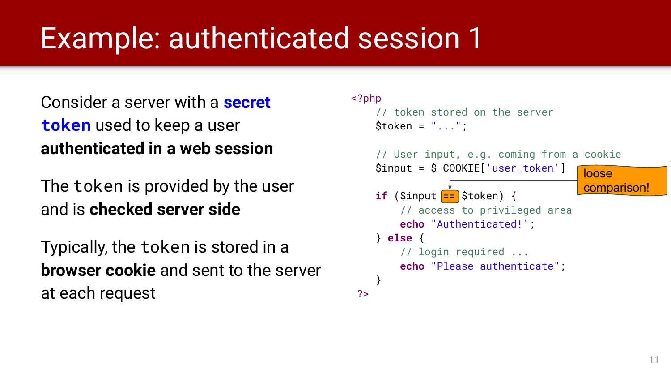### Example: authenticated session 1

Consider a server with a **secret token** used to keep a user **authenticated in a web session**

The token is provided by the user and is **checked server side**

Typically, the token is stored in a **browser cookie** and sent to the server at each request

#### <?php // token stored on the server  $Stoken = "..."$  // User input, e.g. coming from a cookie \$input = \$\_COOKIE['user\_token'] **if**  $(Sinput = Stoken)$  { // access to privileged area **echo** "Authenticated!"; } **else** { // login required ... **echo** "Please authenticate"; } ?> loose comparison!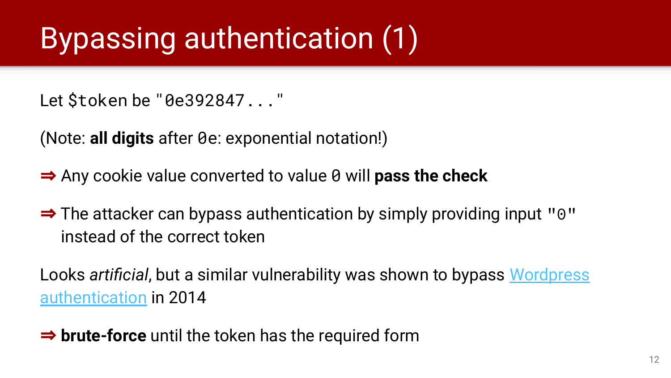## Bypassing authentication (1)

Let \$token be "0e392847..."

(Note: **all digits** after 0e: exponential notation!)

- ⇒ Any cookie value converted to value 0 will **pass the check**
- ⇒ The attacker can bypass authentication by simply providing input "0" instead of the correct token

Looks *artificial*, but a similar vulnerability was shown to bypass [Wordpress](https://labs.mwrinfosecurity.com/blog/wordpress-auth-cookie-forgery/) [authentication](https://labs.mwrinfosecurity.com/blog/wordpress-auth-cookie-forgery/) in 2014

⇒ **brute-force** until the token has the required form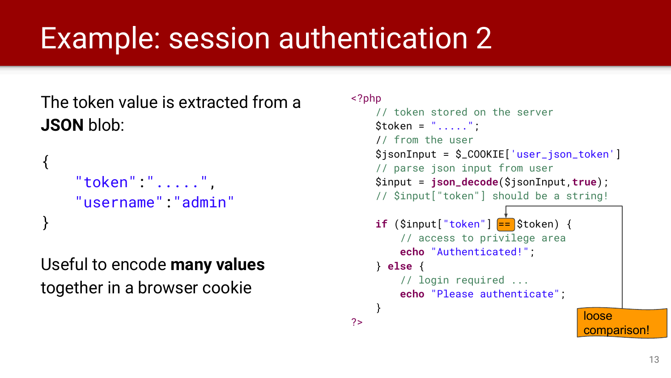### Example: session authentication 2

### The token value is extracted from a **JSON** blob:

```
{
    "token":".....",
    "username":"admin"
}
```
Useful to encode **many values**  together in a browser cookie

#### <?php

```
 // token stored on the server 
     $token = "......";
      // from the user 
      $jsonInput = $_COOKIE['user_json_token'] 
      // parse json input from user
      $input = json_decode($jsonInput,true); 
      // $input["token"] should be a string!
      if ($input["token"] == $token) { 
            // access to privilege area 
            echo "Authenticated!";
      } else { 
            // login required ... 
            echo "Please authenticate";
 } 
?> loose and loose and loose and loose and loose and loose and loose and loose and loose and loose and loose and loose and loose and loose and loose and loose and loose and loose and loose and loose and loose and loose and
                                                        comparison!
```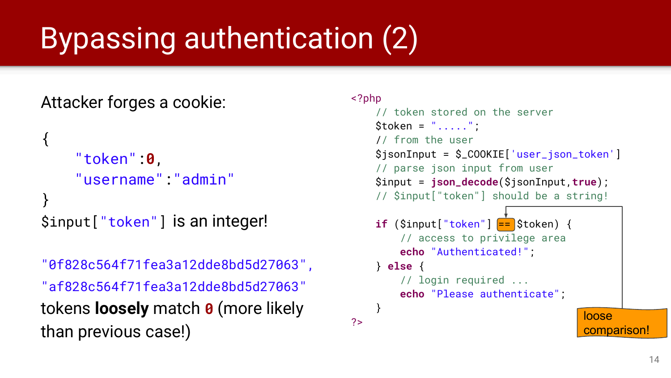## Bypassing authentication (2)

### Attacker forges a cookie:

```
{
    "token":0,
    "username":"admin"
}
$input["token"] is an integer!
```

```
"0f828c564f71fea3a12dde8bd5d27063",
"af828c564f71fea3a12dde8bd5d27063"
tokens loosely match 0 (more likely 
than previous case!)
```
#### <?php

```
 // token stored on the server 
     Stoken = "......":
      // from the user 
      $jsonInput = $_COOKIE['user_json_token'] 
      // parse json input from user
      $input = json_decode($jsonInput,true); 
      // $input["token"] should be a string!
      if ($input["token"] == $token) { 
            // access to privilege area 
            echo "Authenticated!";
      } else { 
            // login required ... 
            echo "Please authenticate";
 } 
?> loose and loose and loose and loose and loose and loose and loose and loose and loose and loose and loose and loose and loose and loose and loose and loose and loose and loose and loose and loose and loose and loose and
                                                        comparison!
```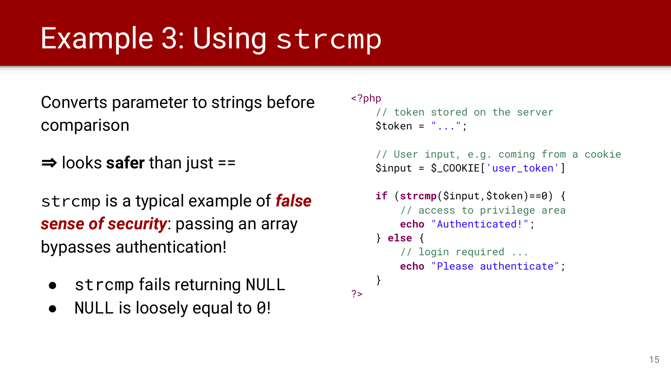### Example 3: Using strcmp

Converts parameter to strings before comparison

⇒ looks **safer** than just ==

strcmp is a typical example of *false sense of security*: passing an array bypasses authentication!

- strcmp fails returning NULL
- NULL is loosely equal to  $\theta$ !

#### <?php

?>

```
 // token stored on the server 
Stoken = "..."
```

```
 // User input, e.g. coming from a cookie 
 $input = $_COOKIE['user_token']
```

```
 if (strcmp($input,$token)==0) { 
         // access to privilege area 
         echo "Authenticated!";
     } else { 
         // login required ...
         echo "Please authenticate";
 }
```
15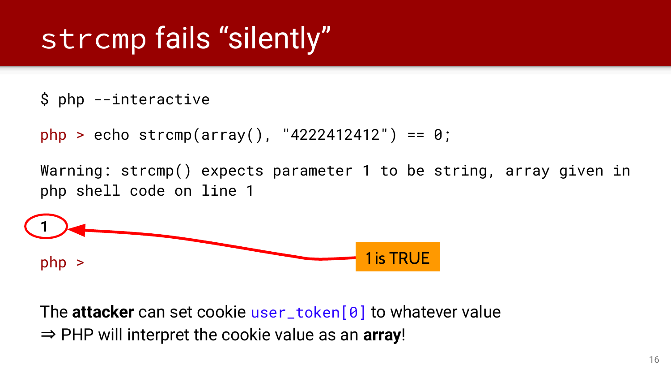### strcmp fails "silently"

\$ php --interactive

```
php > echo strcmp(array(), "4222412412") == 0;
```
Warning: strcmp() expects parameter 1 to be string, array given in php shell code on line 1



The **attacker** can set cookie user\_token[0] to whatever value ⇒ PHP will interpret the cookie value as an **array**!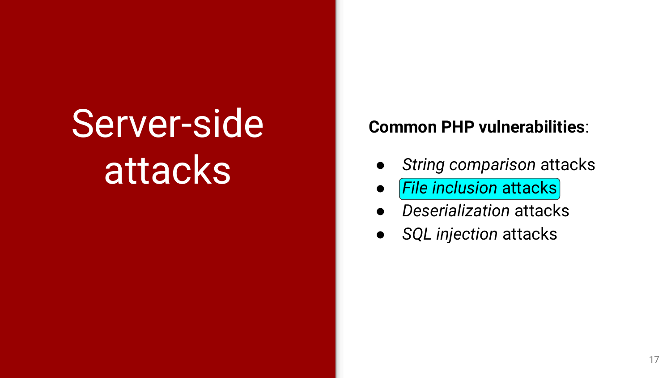# Server-side attacks

#### **Common PHP vulnerabilities**:

- *String comparison* attacks
- **File inclusion attacks**
- *Deserialization* attacks
- *SQL injection* attacks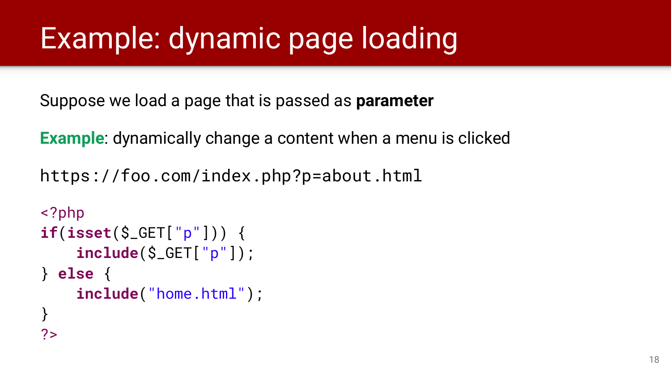### Example: dynamic page loading

Suppose we load a page that is passed as **parameter**

**Example**: dynamically change a content when a menu is clicked

https://foo.com/index.php?p=about.html

```
<?php
if(isset($_GET["p"])) {
     include($_GET["p"]);
} else {
      include("home.html");
}
2<sub>5</sub>
```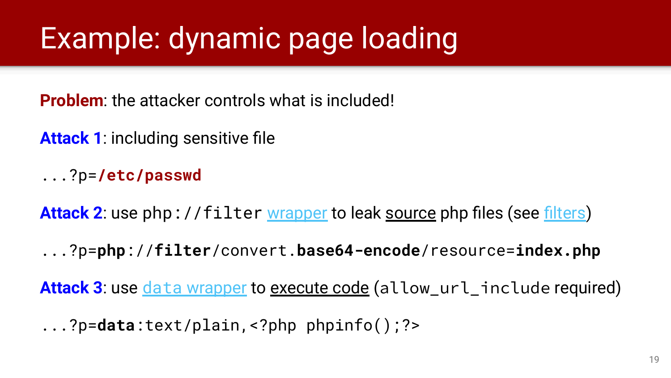### Example: dynamic page loading

**Problem:** the attacker controls what is included!

**Attack 1**: including sensitive file

...?p=**/etc/passwd**

Attack 2: use php://filter [wrapper](https://www.php.net/manual/en/wrappers.php.php#wrappers.php.filter) to leak source php files (see [filters\)](https://www.php.net/manual/en/filters.php)

...?p=**php**://**filter**/convert.**base64-encode**/resource=**index.php**

Attack 3: use *data [wrapper](https://www.php.net/manual/en/wrappers.data.php)* to execute code (allow\_url\_include required)

...?p=**data**:text/plain,<?php phpinfo();?>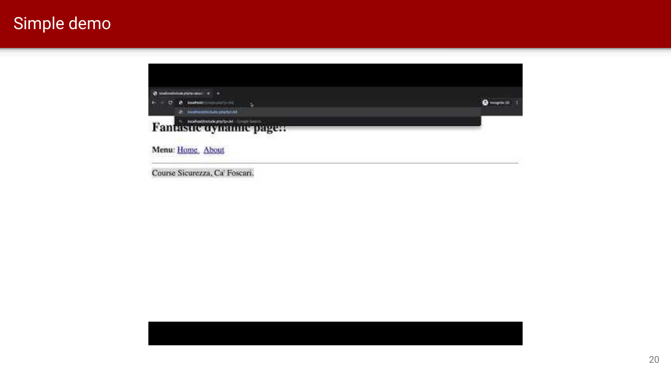### Simple demo



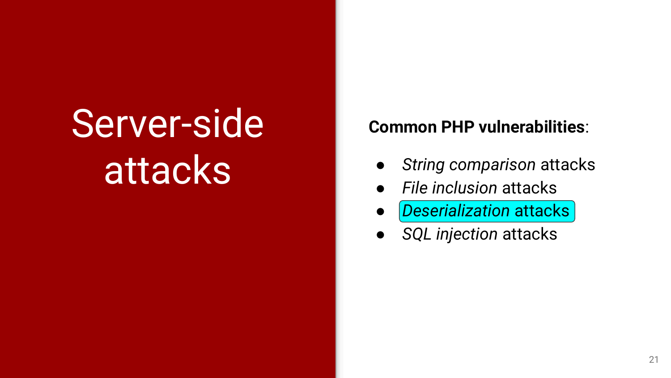# Server-side attacks

#### **Common PHP vulnerabilities**:

- *String comparison* attacks
- *File inclusion* attacks
- *Deserialization* attacks
- *SQL injection* attacks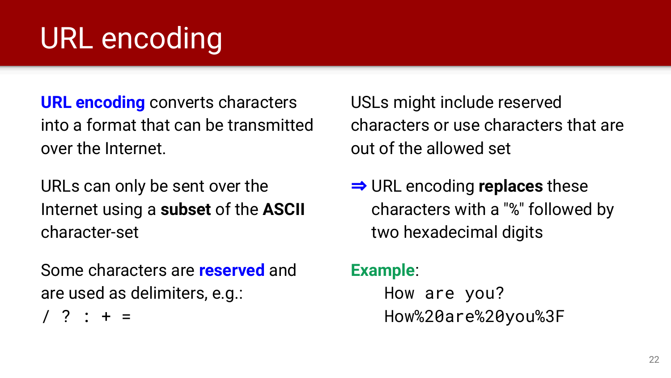### URL encoding

**URL encoding** converts characters into a format that can be transmitted over the Internet.

URLs can only be sent over the Internet using a **subset** of the **ASCII** character-set

Some characters are **reserved** and are used as delimiters, e.g.:

 $/$  ? : + =

USLs might include reserved characters or use characters that are out of the allowed set

⇒ URL encoding **replaces** these characters with a "%" followed by two hexadecimal digits

**Example**:

How are you? How%20are%20you%3F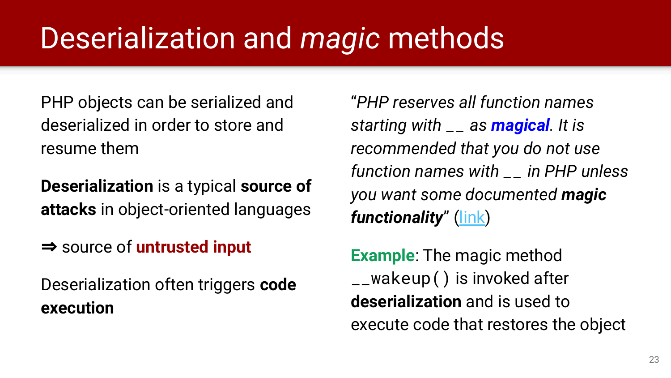### Deserialization and *magic* methods

PHP objects can be serialized and deserialized in order to store and resume them

**Deserialization** is a typical **source of attacks** in object-oriented languages

⇒ source of **untrusted input**

Deserialization often triggers **code execution**

"*PHP reserves all function names starting with \_\_ as magical. It is recommended that you do not use function names with \_\_ in PHP unless you want some documented magic functionality*" ([link\)](https://www.php.net/manual/en/language.oop5.magic.php)

**Example**: The magic method \_\_wakeup() is invoked after **deserialization** and is used to execute code that restores the object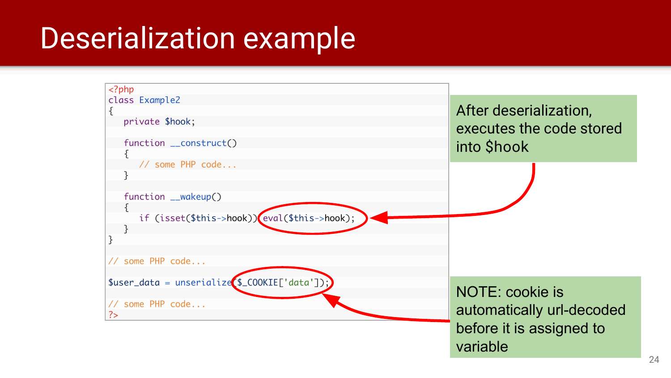### Deserialization example

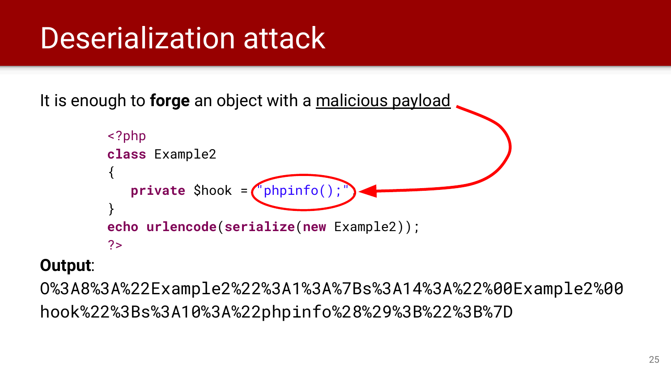### Deserialization attack

It is enough to **forge** an object with a malicious payload



#### **Output**:

O%3A8%3A%22Example2%22%3A1%3A%7Bs%3A14%3A%22%00Example2%00 hook%22%3Bs%3A10%3A%22phpinfo%28%29%3B%22%3B%7D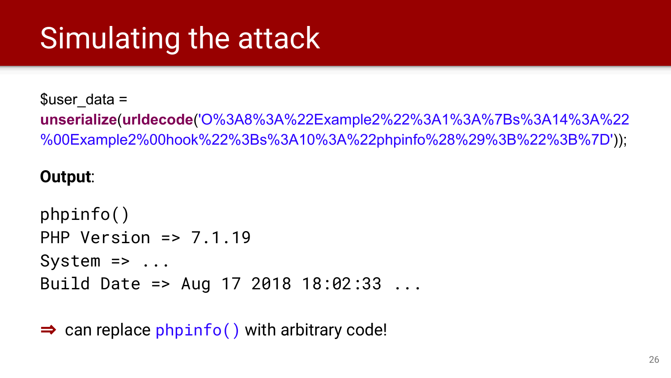### Simulating the attack

#### $Suser data =$

**unserialize**(**urldecode**('O%3A8%3A%22Example2%22%3A1%3A%7Bs%3A14%3A%22 %00Example2%00hook%22%3Bs%3A10%3A%22phpinfo%28%29%3B%22%3B%7D'));

#### **Output**:

```
phpinfo()
PHP Version => 7.1.19
System \Rightarrow \dotsBuild Date => Aug 17 2018 18:02:33 ...
```
 $\Rightarrow$  can replace phpinfo() with arbitrary code!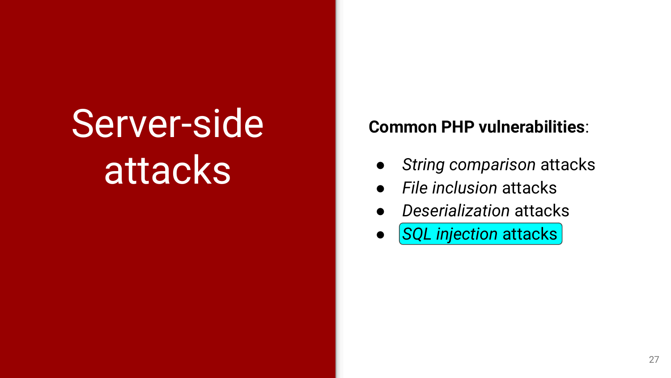# Server-side attacks

#### **Common PHP vulnerabilities**:

- *String comparison* attacks
- *File inclusion* attacks
- *Deserialization* attacks
- *SQL injection* attacks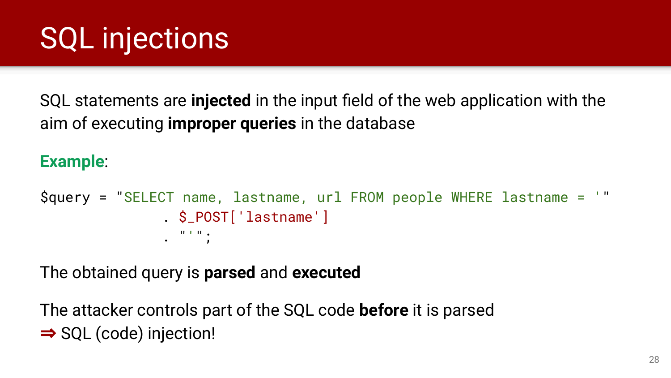SQL statements are **injected** in the input field of the web application with the aim of executing **improper queries** in the database

### **Example**:

```
$query = "SELECT name, lastname, url FROM people WHERE lastname = '"
               . $_POST['lastname']
               . "'";
```
The obtained query is **parsed** and **executed**

The attacker controls part of the SQL code **before** it is parsed ⇒ SQL (code) injection!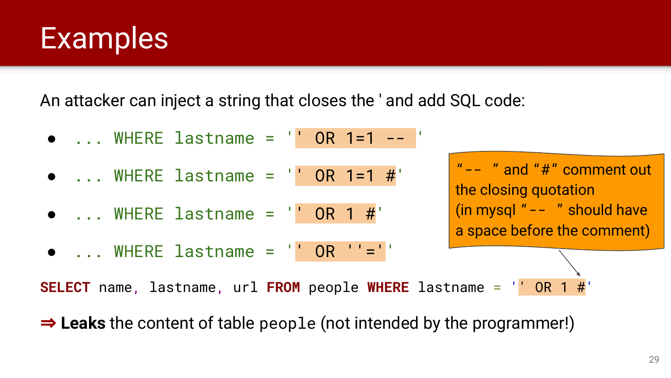### **Examples**

An attacker can inject a string that closes the ' and add SQL code:

● ... WHERE lastname = '' OR 1=1 -- '  $\bullet$  ... WHERE lastname =  $\prime\prime$  OR 1=1 #'  $\bullet$  ... WHERE lastname =  $\prime$  OR 1 #  $\bullet$  ... WHERE lastname =  $\prime\prime$  OR  $\prime\prime$  =  $\prime\prime\prime$ "-- " and "#" comment out the closing quotation (in mysql "-- " should have a space before the comment) **SELECT** name, lastname, url **FROM** people **WHERE** lastname = '' OR 1 #'

⇒ **Leaks** the content of table people (not intended by the programmer!)